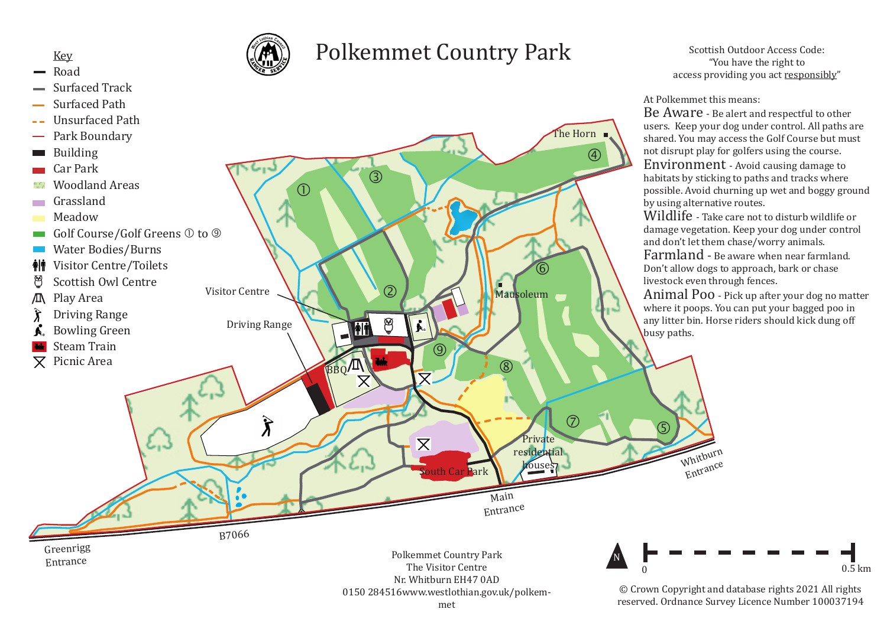

## Road

- Surfaced Track
- Surfaced Path
- Unsurfaced Path
- Park Boundary
- Building
- Car Park
- Woodland Areas
- Grassland  $\sim 10$
- Meadow
- Golf Course/Golf Greens  $\mathbb O$  to  $\mathbb O$
- Water Bodies/Burns
- Visitor Centre/Toilets ÅİŤ
- Scottish Owl Centre
- Play Area M.
- Driving Range
- Bowling Green
- Steam Train
- $\nabla$  Picnic Area



B7066

## Polkemmet Country Park



Scottish Outdoor Access Code: "You have the right to access providing you act responsibly"

## At Polkemmet this means:

Be Aware - Be alert and respectful to other users. Keep your dog under control. All paths are shared. You may access the Golf Course but must not disrupt play for golfers using the course. Environment - Avoid causing damage to habitats by sticking to paths and tracks where possible. Avoid churning up wet and boggy ground by using alternative routes.

Wildlife - Take care not to disturb wildlife or damage vegetation. Keep your dog under control and don't let them chase/worry animals.

Farmland - Be aware when near farmland. Don't allow dogs to approach, bark or chase livestock even through fences.

Animal Poo - Pick up after your dog no matter where it poops. You can put your bagged poo in any litter bin. Horse riders should kick dung off busy paths.



Polkemmet Country Park The Visitor Centre Nr. Whitburn EH47 0AD 0150 284516www.westlothian.gov.uk/polkem-

Main Entrance



Entrance

© Crown Copyright and database rights 2021 All rights reserved. Ordnance Survey Licence Number 100037194